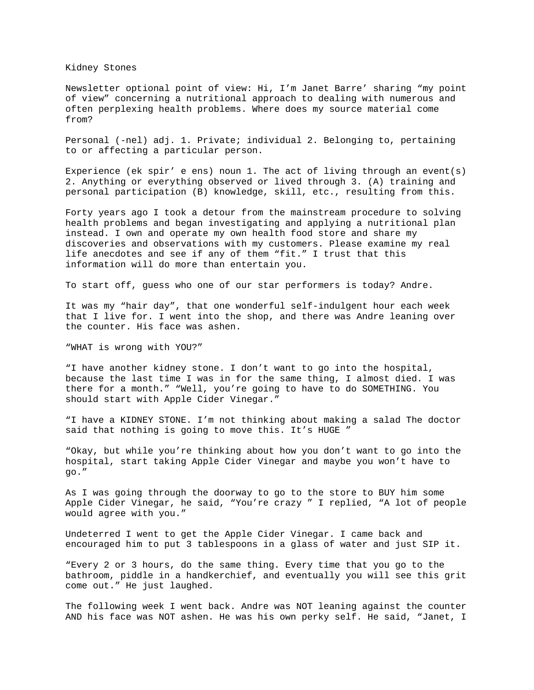Kidney Stones

Newsletter optional point of view: Hi, I'm Janet Barre' sharing "my point of view" concerning a nutritional approach to dealing with numerous and often perplexing health problems. Where does my source material come from?

Personal (-nel) adj. 1. Private; individual 2. Belonging to, pertaining to or affecting a particular person.

Experience (ek spir' e ens) noun 1. The act of living through an event(s) 2. Anything or everything observed or lived through 3. (A) training and personal participation (B) knowledge, skill, etc., resulting from this.

Forty years ago I took a detour from the mainstream procedure to solving health problems and began investigating and applying a nutritional plan instead. I own and operate my own health food store and share my discoveries and observations with my customers. Please examine my real life anecdotes and see if any of them "fit." I trust that this information will do more than entertain you.

To start off, guess who one of our star performers is today? Andre.

It was my "hair day", that one wonderful self-indulgent hour each week that I live for. I went into the shop, and there was Andre leaning over the counter. His face was ashen.

"WHAT is wrong with YOU?"

"I have another kidney stone. I don't want to go into the hospital, because the last time I was in for the same thing, I almost died. I was there for a month." "Well, you're going to have to do SOMETHING. You should start with Apple Cider Vinegar."

"I have a KIDNEY STONE. I'm not thinking about making a salad The doctor said that nothing is going to move this. It's HUGE "

"Okay, but while you're thinking about how you don't want to go into the hospital, start taking Apple Cider Vinegar and maybe you won't have to go."

As I was going through the doorway to go to the store to BUY him some Apple Cider Vinegar, he said, "You're crazy " I replied, "A lot of people would agree with you."

Undeterred I went to get the Apple Cider Vinegar. I came back and encouraged him to put 3 tablespoons in a glass of water and just SIP it.

"Every 2 or 3 hours, do the same thing. Every time that you go to the bathroom, piddle in a handkerchief, and eventually you will see this grit come out." He just laughed.

The following week I went back. Andre was NOT leaning against the counter AND his face was NOT ashen. He was his own perky self. He said, "Janet, I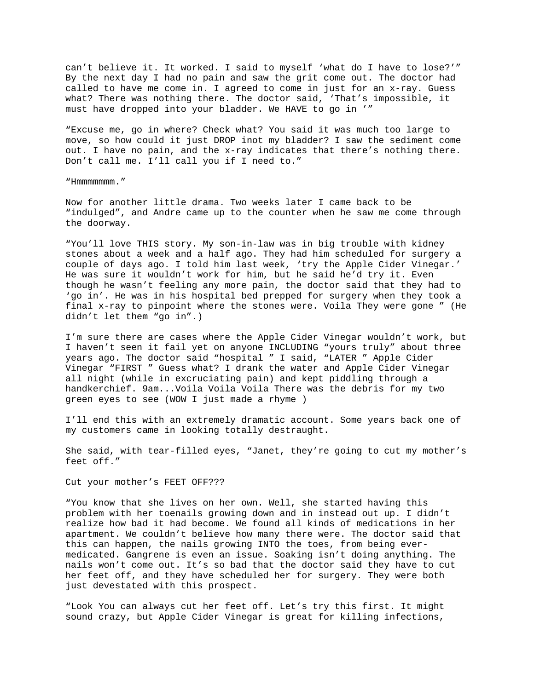can't believe it. It worked. I said to myself 'what do I have to lose?'" By the next day I had no pain and saw the grit come out. The doctor had called to have me come in. I agreed to come in just for an x-ray. Guess what? There was nothing there. The doctor said, 'That's impossible, it must have dropped into your bladder. We HAVE to go in '"

"Excuse me, go in where? Check what? You said it was much too large to move, so how could it just DROP inot my bladder? I saw the sediment come out. I have no pain, and the x-ray indicates that there's nothing there. Don't call me. I'll call you if I need to."

"Hmmmmmmm."

Now for another little drama. Two weeks later I came back to be "indulged", and Andre came up to the counter when he saw me come through the doorway.

"You'll love THIS story. My son-in-law was in big trouble with kidney stones about a week and a half ago. They had him scheduled for surgery a couple of days ago. I told him last week, 'try the Apple Cider Vinegar.' He was sure it wouldn't work for him, but he said he'd try it. Even though he wasn't feeling any more pain, the doctor said that they had to 'go in'. He was in his hospital bed prepped for surgery when they took a final x-ray to pinpoint where the stones were. Voila They were gone " (He didn't let them "go in".)

I'm sure there are cases where the Apple Cider Vinegar wouldn't work, but I haven't seen it fail yet on anyone INCLUDING "yours truly" about three years ago. The doctor said "hospital " I said, "LATER " Apple Cider Vinegar "FIRST " Guess what? I drank the water and Apple Cider Vinegar all night (while in excruciating pain) and kept piddling through a handkerchief. 9am...Voila Voila Voila There was the debris for my two green eyes to see (WOW I just made a rhyme )

I'll end this with an extremely dramatic account. Some years back one of my customers came in looking totally destraught.

She said, with tear-filled eyes, "Janet, they're going to cut my mother's feet off."

Cut your mother's FEET OFF???

"You know that she lives on her own. Well, she started having this problem with her toenails growing down and in instead out up. I didn't realize how bad it had become. We found all kinds of medications in her apartment. We couldn't believe how many there were. The doctor said that this can happen, the nails growing INTO the toes, from being evermedicated. Gangrene is even an issue. Soaking isn't doing anything. The nails won't come out. It's so bad that the doctor said they have to cut her feet off, and they have scheduled her for surgery. They were both just devestated with this prospect.

"Look You can always cut her feet off. Let's try this first. It might sound crazy, but Apple Cider Vinegar is great for killing infections,